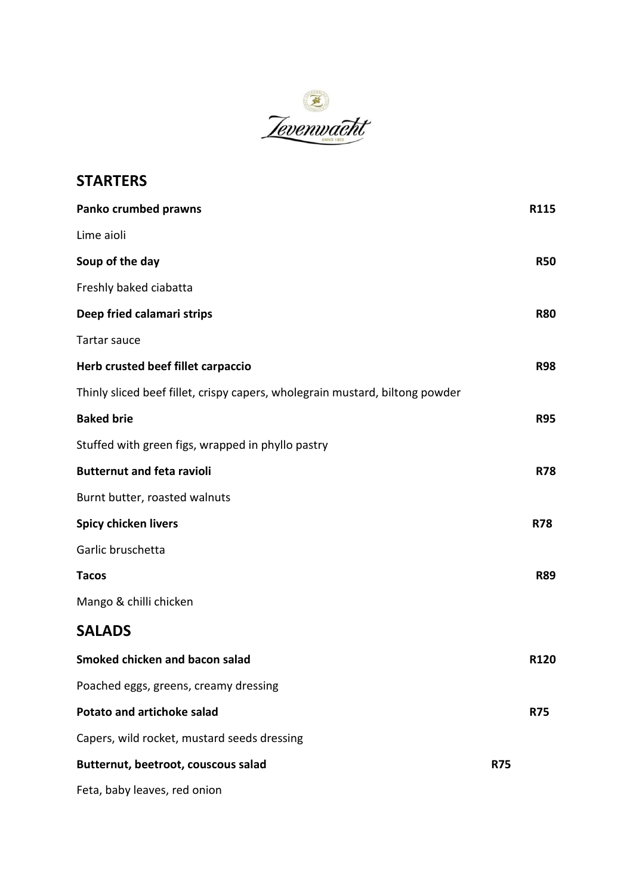

## **STARTERS**

| Panko crumbed prawns                                                         |            | R115        |
|------------------------------------------------------------------------------|------------|-------------|
| Lime aioli                                                                   |            |             |
| Soup of the day                                                              |            | <b>R50</b>  |
| Freshly baked ciabatta                                                       |            |             |
| Deep fried calamari strips                                                   |            | <b>R80</b>  |
| Tartar sauce                                                                 |            |             |
| Herb crusted beef fillet carpaccio                                           |            | <b>R98</b>  |
| Thinly sliced beef fillet, crispy capers, wholegrain mustard, biltong powder |            |             |
| <b>Baked brie</b>                                                            |            | <b>R95</b>  |
| Stuffed with green figs, wrapped in phyllo pastry                            |            |             |
| <b>Butternut and feta ravioli</b>                                            |            | <b>R78</b>  |
| Burnt butter, roasted walnuts                                                |            |             |
| <b>Spicy chicken livers</b>                                                  |            | <b>R78</b>  |
| Garlic bruschetta                                                            |            |             |
| <b>Tacos</b>                                                                 |            | <b>R89</b>  |
| Mango & chilli chicken                                                       |            |             |
| <b>SALADS</b>                                                                |            |             |
| Smoked chicken and bacon salad                                               |            | <b>R120</b> |
| Poached eggs, greens, creamy dressing                                        |            |             |
| Potato and artichoke salad                                                   |            | <b>R75</b>  |
| Capers, wild rocket, mustard seeds dressing                                  |            |             |
| Butternut, beetroot, couscous salad                                          | <b>R75</b> |             |
| Feta, baby leaves, red onion                                                 |            |             |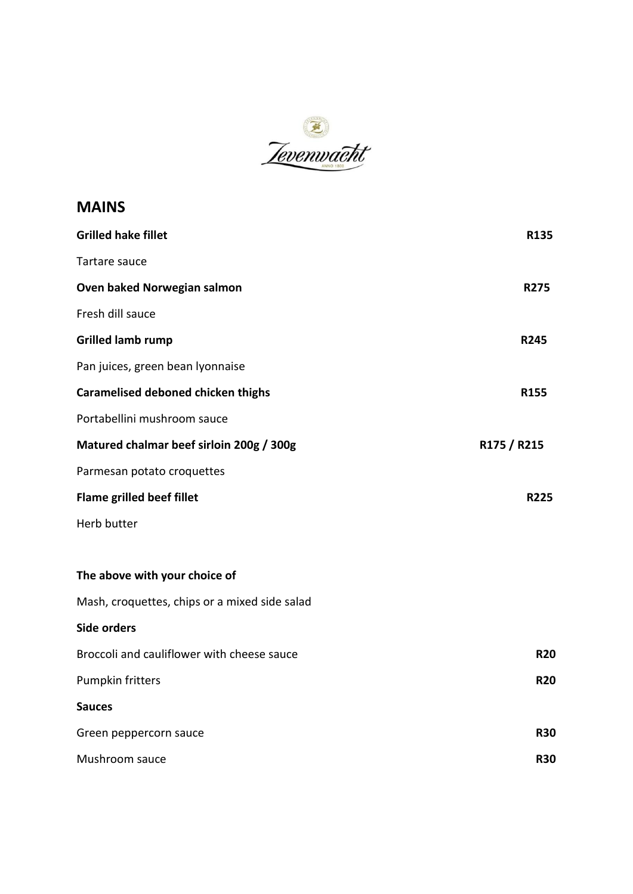

## **MAINS Grilled hake fillet R135** Tartare sauce **Oven baked Norwegian salmon** R275 Fresh dill sauce **Grilled lamb rump R245** Pan juices, green bean lyonnaise **Caramelised deboned chicken thighs R155** Portabellini mushroom sauce **Matured chalmar beef sirloin 200g / 300g R175 / R215** Parmesan potato croquettes **Flame grilled beef fillet** R225 Herb butter **The above with your choice of** Mash, croquettes, chips or a mixed side salad **Side orders** Broccoli and cauliflower with cheese sauce **R20** Pumpkin fritters **R20 Sauces**  Green peppercorn sauce **R30** Mushroom sauce **R30**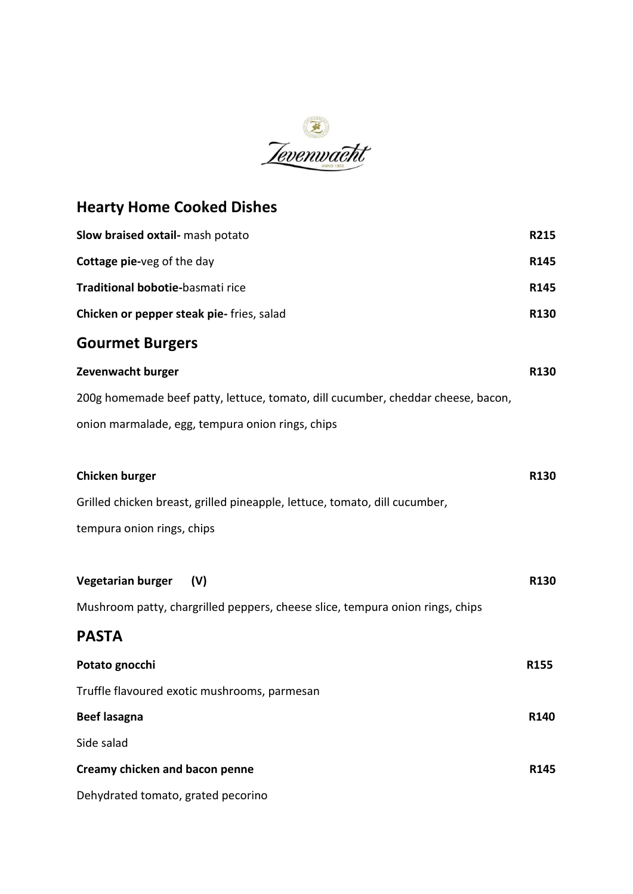

## **Hearty Home Cooked Dishes**

| Slow braised oxtail- mash potato                                                 | R215        |
|----------------------------------------------------------------------------------|-------------|
| Cottage pie-veg of the day                                                       | R145        |
| Traditional bobotie-basmati rice                                                 | R145        |
| Chicken or pepper steak pie- fries, salad                                        | <b>R130</b> |
| <b>Gourmet Burgers</b>                                                           |             |
| Zevenwacht burger                                                                | R130        |
| 200g homemade beef patty, lettuce, tomato, dill cucumber, cheddar cheese, bacon, |             |
| onion marmalade, egg, tempura onion rings, chips                                 |             |
|                                                                                  |             |
| <b>Chicken burger</b>                                                            | R130        |
| Grilled chicken breast, grilled pineapple, lettuce, tomato, dill cucumber,       |             |
| tempura onion rings, chips                                                       |             |
|                                                                                  |             |
| Vegetarian burger<br>(V)                                                         | <b>R130</b> |
| Mushroom patty, chargrilled peppers, cheese slice, tempura onion rings, chips    |             |
| <b>PASTA</b>                                                                     |             |
| Potato gnocchi                                                                   | <b>R155</b> |
| Truffle flavoured exotic mushrooms, parmesan                                     |             |
| <b>Beef lasagna</b>                                                              | R140        |
| Side salad                                                                       |             |
| Creamy chicken and bacon penne                                                   | R145        |
| Dehydrated tomato, grated pecorino                                               |             |